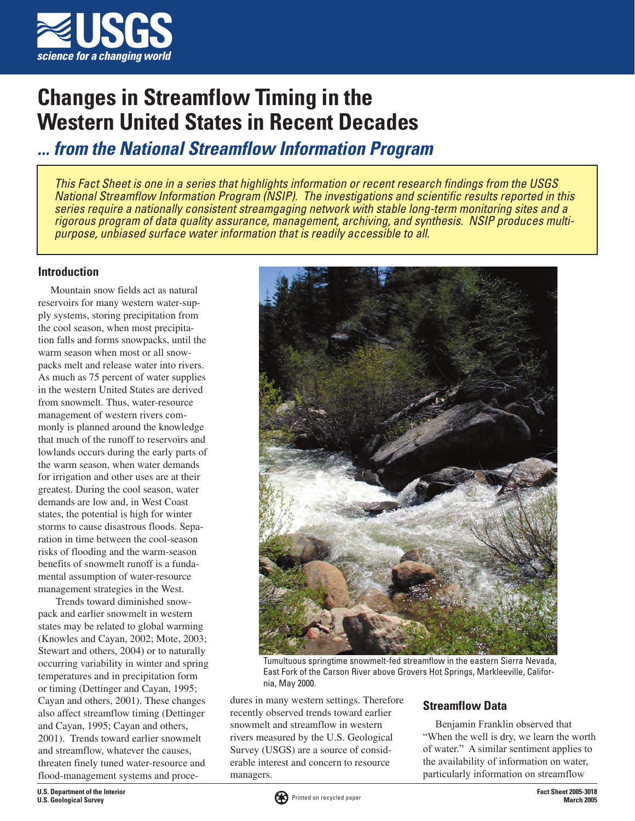

# **Changes in Streamflow Timing in the Western United States in Recent Decades**

**... from the National Streamflow Information Program**

This Fact Sheet is one in a series that highlights information or recent research findings from the USGS National Streamflow Information Program (NSIP). The investigations and scientific results reported in this series require a nationally consistent streamgaging network with stable long-term monitoring sites and a rigorous program of data quality assurance, management, archiving, and synthesis. NSIP produces multipurpose, unbiased surface water information that is readily accessible to all.

#### **Introduction**

Mountain snow fields act as natural reservoirs for many western water-supply systems, storing precipitation from the cool season, when most precipitation falls and forms snowpacks, until the warm season when most or all snowpacks melt and release water into rivers. As much as 75 percent of water supplies in the western United States are derived from snowmelt. Thus, water-resource management of western rivers commonly is planned around the knowledge that much of the runoff to reservoirs and lowlands occurs during the early parts of the warm season, when water demands for irrigation and other uses are at their greatest. During the cool season, water demands are low and, in West Coast states, the potential is high for winter storms to cause disastrous floods. Separation in time between the cool-season risks of flooding and the warm-season benefits of snowmelt runoff is a fundamental assumption of water-resource management strategies in the West.

 Trends toward diminished snowpack and earlier snowmelt in western states may be related to global warming (Knowles and Cayan, 2002; Mote, 2003; Stewart and others, 2004) or to naturally occurring variability in winter and spring temperatures and in precipitation form or timing (Dettinger and Cayan, 1995; Cayan and others, 2001). These changes also affect streamflow timing (Dettinger and Cayan, 1995; Cayan and others, 2001). Trends toward earlier snowmelt and streamflow, whatever the causes, threaten finely tuned water-resource and flood-management systems and proce-



Tumultuous springtime snowmelt-fed streamflow in the eastern Sierra Nevada, East Fork of the Carson River above Grovers Hot Springs, Markleeville, California, May 2000.

dures in many western settings. Therefore recently observed trends toward earlier snowmelt and streamflow in western rivers measured by the U.S. Geological Survey (USGS) are a source of considerable interest and concern to resource managers.

### **Streamflow Data**

Benjamin Franklin observed that "When the well is dry, we learn the worth of water." A similar sentiment applies to the availability of information on water, particularly information on streamflow

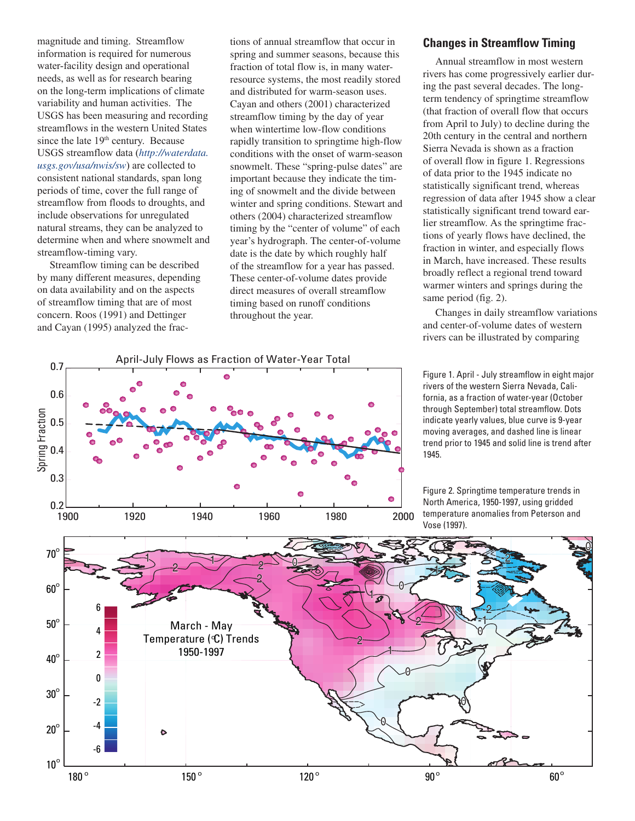magnitude and timing. Streamflow information is required for numerous water-facility design and operational needs, as well as for research bearing on the long-term implications of climate variability and human activities. The USGS has been measuring and recording streamflows in the western United States since the late 19<sup>th</sup> century. Because USGS streamflow data (*http://waterdata. usgs.gov/usa/nwis/sw*) are collected to consistent national standards, span long periods of time, cover the full range of streamflow from floods to droughts, and include observations for unregulated natural streams, they can be analyzed to determine when and where snowmelt and streamflow-timing vary.

Streamflow timing can be described by many different measures, depending on data availability and on the aspects of streamflow timing that are of most concern. Roos (1991) and Dettinger and Cayan (1995) analyzed the frac-

tions of annual streamflow that occur in spring and summer seasons, because this fraction of total flow is, in many waterresource systems, the most readily stored and distributed for warm-season uses. Cayan and others (2001) characterized streamflow timing by the day of year when wintertime low-flow conditions rapidly transition to springtime high-flow conditions with the onset of warm-season snowmelt. These "spring-pulse dates" are important because they indicate the timing of snowmelt and the divide between winter and spring conditions. Stewart and others (2004) characterized streamflow timing by the "center of volume" of each year's hydrograph. The center-of-volume date is the date by which roughly half of the streamflow for a year has passed. These center-of-volume dates provide direct measures of overall streamflow timing based on runoff conditions throughout the year.

## April-July Flows as Fraction of Water-Year Total 0.7 0.6 Spring Fraction 0.5 0.4 0.3  $\bullet$  $0.2$   $-$ <br>1900 1900 1920 1940 1960 1980 2000

#### **Changes in Streamflow Timing**

Annual streamflow in most western rivers has come progressively earlier during the past several decades. The longterm tendency of springtime streamflow (that fraction of overall flow that occurs from April to July) to decline during the 20th century in the central and northern Sierra Nevada is shown as a fraction of overall flow in figure 1. Regressions of data prior to the 1945 indicate no statistically significant trend, whereas regression of data after 1945 show a clear statistically significant trend toward earlier streamflow. As the springtime fractions of yearly flows have declined, the fraction in winter, and especially flows in March, have increased. These results broadly reflect a regional trend toward warmer winters and springs during the same period (fig. 2).

Changes in daily streamflow variations and center-of-volume dates of western rivers can be illustrated by comparing

Figure 1. April - July streamflow in eight major rivers of the western Sierra Nevada, California, as a fraction of water-year (October through September) total streamflow. Dots indicate yearly values, blue curve is 9-year moving averages, and dashed line is linear trend prior to 1945 and solid line is trend after 1945.

Figure 2. Springtime temperature trends in North America, 1950-1997, using gridded temperature anomalies from Peterson and Vose (1997).

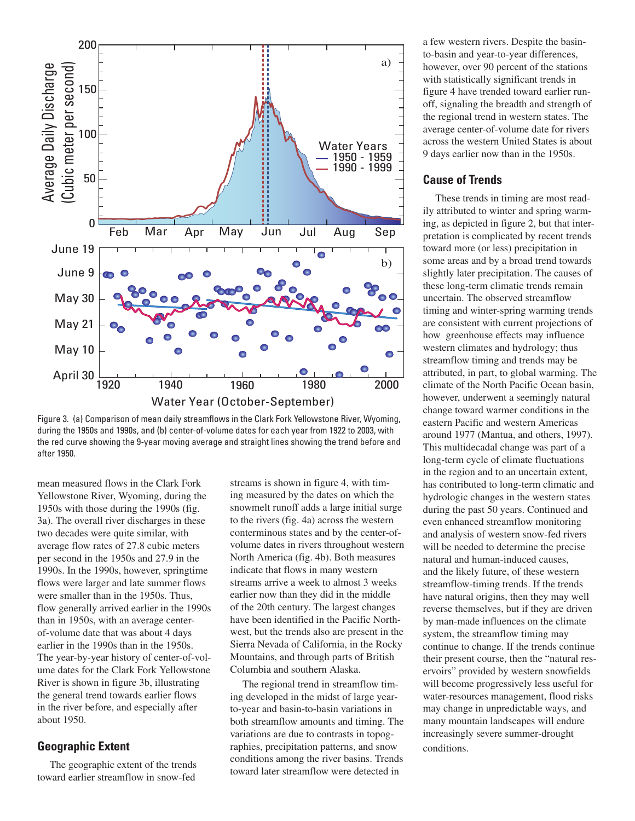

Figure 3. (a) Comparison of mean daily streamflows in the Clark Fork Yellowstone River, Wyoming, during the 1950s and 1990s, and (b) center-of-volume dates for each year from 1922 to 2003, with the red curve showing the 9-year moving average and straight lines showing the trend before and after 1950.

mean measured flows in the Clark Fork Yellowstone River, Wyoming, during the 1950s with those during the 1990s (fig. 3a). The overall river discharges in these two decades were quite similar, with average flow rates of 27.8 cubic meters per second in the 1950s and 27.9 in the 1990s. In the 1990s, however, springtime flows were larger and late summer flows were smaller than in the 1950s. Thus, flow generally arrived earlier in the 1990s than in 1950s, with an average centerof-volume date that was about 4 days earlier in the 1990s than in the 1950s. The year-by-year history of center-of-volume dates for the Clark Fork Yellowstone River is shown in figure 3b, illustrating the general trend towards earlier flows in the river before, and especially after about 1950.

#### **Geographic Extent**

The geographic extent of the trends toward earlier streamflow in snow-fed

streams is shown in figure 4, with timing measured by the dates on which the snowmelt runoff adds a large initial surge to the rivers (fig. 4a) across the western conterminous states and by the center-ofvolume dates in rivers throughout western North America (fig. 4b). Both measures indicate that flows in many western streams arrive a week to almost 3 weeks earlier now than they did in the middle of the 20th century. The largest changes have been identified in the Pacific Northwest, but the trends also are present in the Sierra Nevada of California, in the Rocky Mountains, and through parts of British Columbia and southern Alaska.

The regional trend in streamflow timing developed in the midst of large yearto-year and basin-to-basin variations in both streamflow amounts and timing. The variations are due to contrasts in topographies, precipitation patterns, and snow conditions among the river basins. Trends toward later streamflow were detected in

a few western rivers. Despite the basinto-basin and year-to-year differences, however, over 90 percent of the stations with statistically significant trends in figure 4 have trended toward earlier runoff, signaling the breadth and strength of the regional trend in western states. The average center-of-volume date for rivers across the western United States is about 9 days earlier now than in the 1950s.

#### **Cause of Trends**

These trends in timing are most readily attributed to winter and spring warming, as depicted in figure 2, but that interpretation is complicated by recent trends toward more (or less) precipitation in some areas and by a broad trend towards slightly later precipitation. The causes of these long-term climatic trends remain uncertain. The observed streamflow timing and winter-spring warming trends are consistent with current projections of how greenhouse effects may influence western climates and hydrology; thus streamflow timing and trends may be attributed, in part, to global warming. The climate of the North Pacific Ocean basin, however, underwent a seemingly natural change toward warmer conditions in the eastern Pacific and western Americas around 1977 (Mantua, and others, 1997). This multidecadal change was part of a long-term cycle of climate fluctuations in the region and to an uncertain extent, has contributed to long-term climatic and hydrologic changes in the western states during the past 50 years. Continued and even enhanced streamflow monitoring and analysis of western snow-fed rivers will be needed to determine the precise natural and human-induced causes, and the likely future, of these western streamflow-timing trends. If the trends have natural origins, then they may well reverse themselves, but if they are driven by man-made influences on the climate system, the streamflow timing may continue to change. If the trends continue their present course, then the "natural reservoirs" provided by western snowfields will become progressively less useful for water-resources management, flood risks may change in unpredictable ways, and many mountain landscapes will endure increasingly severe summer-drought conditions.